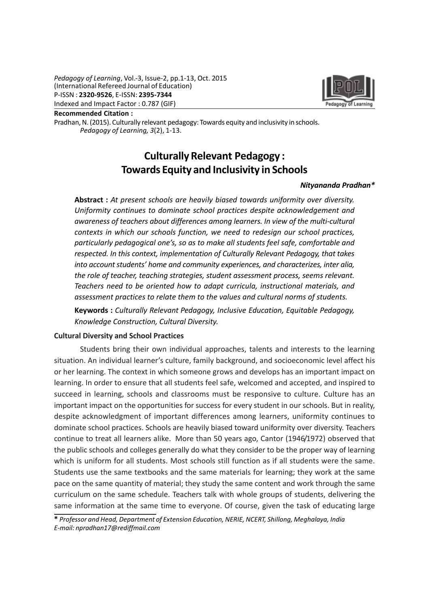Pedagogy of Learning, Vol.-3, Issue-2, pp.1-13, Oct. 2015 (International Refereed Journal of Education) P-ISSN : 2320-9526, E-ISSN: 2395-7344 Indexed and Impact Factor : 0.787 (GIF)



Recommended Citation :

Pradhan, N. (2015). Culturally relevant pedagogy: Towards equity and inclusivity in schools. Pedagogy of Learning, 3(2), 1-13.

# Culturally Relevant Pedagogy : Towards Equity and Inclusivity in Schools

#### Nityananda Pradhan\*

Abstract : At present schools are heavily biased towards uniformity over diversity. Uniformity continues to dominate school practices despite acknowledgement and awareness of teachers about differences among learners. In view of the multi-cultural contexts in which our schools function, we need to redesign our school practices, particularly pedagogical one's, so as to make all students feel safe, comfortable and respected. In this context, implementation of Culturally Relevant Pedagogy, that takes into account students' home and community experiences, and characterizes, inter alia, the role of teacher, teaching strategies, student assessment process, seems relevant. Teachers need to be oriented how to adapt curricula, instructional materials, and assessment practices to relate them to the values and cultural norms of students.

Keywords : Culturally Relevant Pedagogy, Inclusive Education, Equitable Pedagogy, Knowledge Construction, Cultural Diversity.

#### Cultural Diversity and School Practices

Students bring their own individual approaches, talents and interests to the learning situation. An individual learner's culture, family background, and socioeconomic level affect his or her learning. The context in which someone grows and develops has an important impact on learning. In order to ensure that all students feel safe, welcomed and accepted, and inspired to succeed in learning, schools and classrooms must be responsive to culture. Culture has an important impact on the opportunities for success for every student in our schools. But in reality, despite acknowledgment of important differences among learners, uniformity continues to dominate school practices. Schools are heavily biased toward uniformity over diversity. Teachers continue to treat all learners alike. More than 50 years ago, Cantor (1946/1972) observed that the public schools and colleges generally do what they consider to be the proper way of learning which is uniform for all students. Most schools still function as if all students were the same. Students use the same textbooks and the same materials for learning; they work at the same pace on the same quantity of material; they study the same content and work through the same curriculum on the same schedule. Teachers talk with whole groups of students, delivering the same information at the same time to everyone. Of course, given the task of educating large

<sup>\*</sup> Professor and Head, Department of Extension Education, NERIE, NCERT, Shillong, Meghalaya, India E-mail: npradhan17@rediffmail.com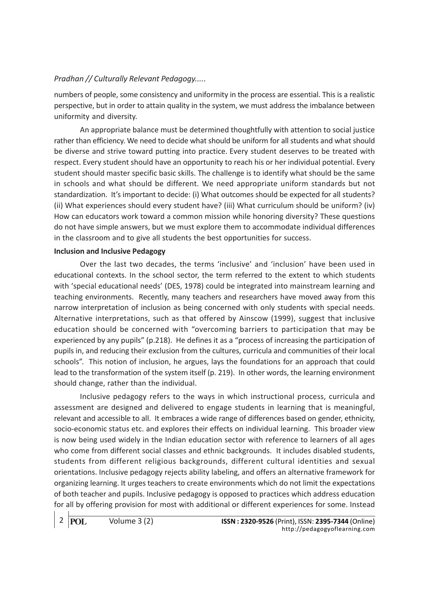numbers of people, some consistency and uniformity in the process are essential. This is a realistic perspective, but in order to attain quality in the system, we must address the imbalance between uniformity and diversity.

An appropriate balance must be determined thoughtfully with attention to social justice rather than efficiency. We need to decide what should be uniform for all students and what should be diverse and strive toward putting into practice. Every student deserves to be treated with respect. Every student should have an opportunity to reach his or her individual potential. Every student should master specific basic skills. The challenge is to identify what should be the same in schools and what should be different. We need appropriate uniform standards but not standardization. It's important to decide: (i) What outcomes should be expected for all students? (ii) What experiences should every student have? (iii) What curriculum should be uniform? (iv) How can educators work toward a common mission while honoring diversity? These questions do not have simple answers, but we must explore them to accommodate individual differences in the classroom and to give all students the best opportunities for success.

#### Inclusion and Inclusive Pedagogy

Over the last two decades, the terms 'inclusive' and 'inclusion' have been used in educational contexts. In the school sector, the term referred to the extent to which students with 'special educational needs' (DES, 1978) could be integrated into mainstream learning and teaching environments. Recently, many teachers and researchers have moved away from this narrow interpretation of inclusion as being concerned with only students with special needs. Alternative interpretations, such as that offered by Ainscow (1999), suggest that inclusive education should be concerned with "overcoming barriers to participation that may be experienced by any pupils" (p.218). He defines it as a "process of increasing the participation of pupils in, and reducing their exclusion from the cultures, curricula and communities of their local schools". This notion of inclusion, he argues, lays the foundations for an approach that could lead to the transformation of the system itself (p. 219). In other words, the learning environment should change, rather than the individual.

Inclusive pedagogy refers to the ways in which instructional process, curricula and assessment are designed and delivered to engage students in learning that is meaningful, relevant and accessible to all. It embraces a wide range of differences based on gender, ethnicity, socio-economic status etc. and explores their effects on individual learning. This broader view is now being used widely in the Indian education sector with reference to learners of all ages who come from different social classes and ethnic backgrounds. It includes disabled students, students from different religious backgrounds, different cultural identities and sexual orientations. Inclusive pedagogy rejects ability labeling, and offers an alternative framework for organizing learning. It urges teachers to create environments which do not limit the expectations of both teacher and pupils. Inclusive pedagogy is opposed to practices which address education for all by offering provision for most with additional or different experiences for some. Instead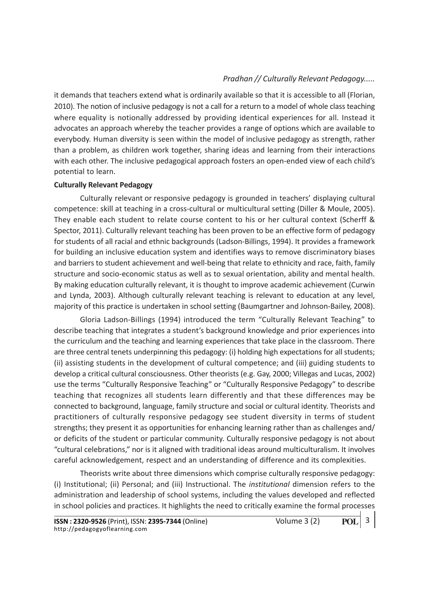it demands that teachers extend what is ordinarily available so that it is accessible to all (Florian, 2010). The notion of inclusive pedagogy is not a call for a return to a model of whole class teaching where equality is notionally addressed by providing identical experiences for all. Instead it advocates an approach whereby the teacher provides a range of options which are available to everybody. Human diversity is seen within the model of inclusive pedagogy as strength, rather than a problem, as children work together, sharing ideas and learning from their interactions with each other. The inclusive pedagogical approach fosters an open-ended view of each child's potential to learn.

#### Culturally Relevant Pedagogy

Culturally relevant or responsive pedagogy is grounded in teachers' displaying cultural competence: skill at teaching in a cross-cultural or multicultural setting (Diller & Moule, 2005). They enable each student to relate course content to his or her cultural context (Scherff & Spector, 2011). Culturally relevant teaching has been proven to be an effective form of pedagogy for students of all racial and ethnic backgrounds (Ladson-Billings, 1994). It provides a framework for building an inclusive education system and identifies ways to remove discriminatory biases and barriers to student achievement and well-being that relate to ethnicity and race, faith, family structure and socio-economic status as well as to sexual orientation, ability and mental health. By making education culturally relevant, it is thought to improve academic achievement (Curwin and Lynda, 2003). Although culturally relevant teaching is relevant to education at any level, majority of this practice is undertaken in school setting (Baumgartner and Johnson-Bailey, 2008).

Gloria Ladson-Billings (1994) introduced the term "Culturally Relevant Teaching" to describe teaching that integrates a student's background knowledge and prior experiences into the curriculum and the teaching and learning experiences that take place in the classroom. There are three central tenets underpinning this pedagogy: (i) holding high expectations for all students; (ii) assisting students in the development of cultural competence; and (iii) guiding students to develop a critical cultural consciousness. Other theorists (e.g. Gay, 2000; Villegas and Lucas, 2002) use the terms "Culturally Responsive Teaching" or "Culturally Responsive Pedagogy" to describe teaching that recognizes all students learn differently and that these differences may be connected to background, language, family structure and social or cultural identity. Theorists and practitioners of culturally responsive pedagogy see student diversity in terms of student strengths; they present it as opportunities for enhancing learning rather than as challenges and/ or deficits of the student or particular community. Culturally responsive pedagogy is not about "cultural celebrations," nor is it aligned with traditional ideas around multiculturalism. It involves careful acknowledgement, respect and an understanding of difference and its complexities.

Theorists write about three dimensions which comprise culturally responsive pedagogy: (i) Institutional; (ii) Personal; and (iii) Instructional. The institutional dimension refers to the administration and leadership of school systems, including the values developed and reflected in school policies and practices. It highlights the need to critically examine the formal processes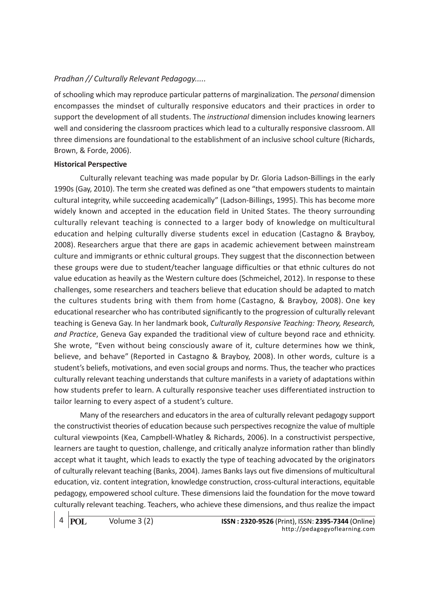of schooling which may reproduce particular patterns of marginalization. The *personal* dimension encompasses the mindset of culturally responsive educators and their practices in order to support the development of all students. The *instructional* dimension includes knowing learners well and considering the classroom practices which lead to a culturally responsive classroom. All three dimensions are foundational to the establishment of an inclusive school culture (Richards, Brown, & Forde, 2006).

#### Historical Perspective

Culturally relevant teaching was made popular by Dr. Gloria Ladson-Billings in the early 1990s (Gay, 2010). The term she created was defined as one "that empowers students to maintain cultural integrity, while succeeding academically" (Ladson-Billings, 1995). This has become more widely known and accepted in the education field in United States. The theory surrounding culturally relevant teaching is connected to a larger body of knowledge on multicultural education and helping culturally diverse students excel in education (Castagno & Brayboy, 2008). Researchers argue that there are gaps in academic achievement between mainstream culture and immigrants or ethnic cultural groups. They suggest that the disconnection between these groups were due to student/teacher language difficulties or that ethnic cultures do not value education as heavily as the Western culture does (Schmeichel, 2012). In response to these challenges, some researchers and teachers believe that education should be adapted to match the cultures students bring with them from home (Castagno, & Brayboy, 2008). One key educational researcher who has contributed significantly to the progression of culturally relevant teaching is Geneva Gay. In her landmark book, Culturally Responsive Teaching: Theory, Research, and Practice, Geneva Gay expanded the traditional view of culture beyond race and ethnicity. She wrote, "Even without being consciously aware of it, culture determines how we think, believe, and behave" (Reported in Castagno & Brayboy, 2008). In other words, culture is a student's beliefs, motivations, and even social groups and norms. Thus, the teacher who practices culturally relevant teaching understands that culture manifests in a variety of adaptations within how students prefer to learn. A culturally responsive teacher uses differentiated instruction to tailor learning to every aspect of a student's culture.

Many of the researchers and educators in the area of culturally relevant pedagogy support the constructivist theories of education because such perspectives recognize the value of multiple cultural viewpoints (Kea, Campbell-Whatley & Richards, 2006). In a constructivist perspective, learners are taught to question, challenge, and critically analyze information rather than blindly accept what it taught, which leads to exactly the type of teaching advocated by the originators of culturally relevant teaching (Banks, 2004). James Banks lays out five dimensions of multicultural education, viz. content integration, knowledge construction, cross-cultural interactions, equitable pedagogy, empowered school culture. These dimensions laid the foundation for the move toward culturally relevant teaching. Teachers, who achieve these dimensions, and thus realize the impact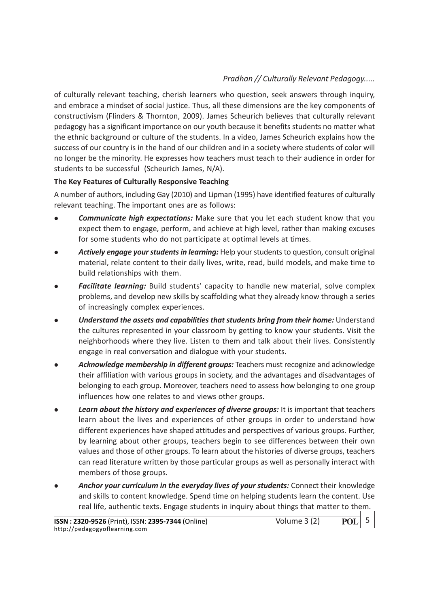of culturally relevant teaching, cherish learners who question, seek answers through inquiry, and embrace a mindset of social justice. Thus, all these dimensions are the key components of constructivism (Flinders & Thornton, 2009). James Scheurich believes that culturally relevant pedagogy has a significant importance on our youth because it benefits students no matter what the ethnic background or culture of the students. In a video, James Scheurich explains how the success of our country is in the hand of our children and in a society where students of color will no longer be the minority. He expresses how teachers must teach to their audience in order for students to be successful (Scheurich James, N/A).

## The Key Features of Culturally Responsive Teaching

A number of authors, including Gay (2010) and Lipman (1995) have identified features of culturally relevant teaching. The important ones are as follows:

- **Communicate high expectations:** Make sure that you let each student know that you expect them to engage, perform, and achieve at high level, rather than making excuses for some students who do not participate at optimal levels at times.
- Actively engage your students in learning: Help your students to question, consult original material, relate content to their daily lives, write, read, build models, and make time to build relationships with them.
- **Facilitate learning:** Build students' capacity to handle new material, solve complex problems, and develop new skills by scaffolding what they already know through a series of increasingly complex experiences.
- Understand the assets and capabilities that students bring from their home: Understand the cultures represented in your classroom by getting to know your students. Visit the neighborhoods where they live. Listen to them and talk about their lives. Consistently engage in real conversation and dialogue with your students.
- Acknowledge membership in different groups: Teachers must recognize and acknowledge their affiliation with various groups in society, and the advantages and disadvantages of belonging to each group. Moreover, teachers need to assess how belonging to one group influences how one relates to and views other groups.
- Learn about the history and experiences of diverse groups: It is important that teachers learn about the lives and experiences of other groups in order to understand how different experiences have shaped attitudes and perspectives of various groups. Further, by learning about other groups, teachers begin to see differences between their own values and those of other groups. To learn about the histories of diverse groups, teachers can read literature written by those particular groups as well as personally interact with members of those groups.
- Anchor your curriculum in the everyday lives of your students: Connect their knowledge and skills to content knowledge. Spend time on helping students learn the content. Use real life, authentic texts. Engage students in inquiry about things that matter to them.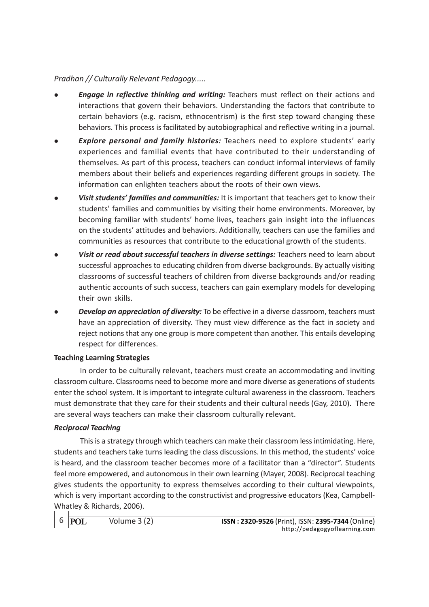- **Engage in reflective thinking and writing:** Teachers must reflect on their actions and interactions that govern their behaviors. Understanding the factors that contribute to certain behaviors (e.g. racism, ethnocentrism) is the first step toward changing these behaviors. This process is facilitated by autobiographical and reflective writing in a journal.
- **Explore personal and family histories:** Teachers need to explore students' early experiences and familial events that have contributed to their understanding of themselves. As part of this process, teachers can conduct informal interviews of family members about their beliefs and experiences regarding different groups in society. The information can enlighten teachers about the roots of their own views.
- Visit students' families and communities: It is important that teachers get to know their students' families and communities by visiting their home environments. Moreover, by becoming familiar with students' home lives, teachers gain insight into the influences on the students' attitudes and behaviors. Additionally, teachers can use the families and communities as resources that contribute to the educational growth of the students.
- Visit or read about successful teachers in diverse settings: Teachers need to learn about successful approaches to educating children from diverse backgrounds. By actually visiting classrooms of successful teachers of children from diverse backgrounds and/or reading authentic accounts of such success, teachers can gain exemplary models for developing their own skills.
- **Develop an appreciation of diversity:** To be effective in a diverse classroom, teachers must have an appreciation of diversity. They must view difference as the fact in society and reject notions that any one group is more competent than another. This entails developing respect for differences.

#### Teaching Learning Strategies

In order to be culturally relevant, teachers must create an accommodating and inviting classroom culture. Classrooms need to become more and more diverse as generations of students enter the school system. It is important to integrate cultural awareness in the classroom. Teachers must demonstrate that they care for their students and their cultural needs (Gay, 2010). There are several ways teachers can make their classroom culturally relevant.

#### Reciprocal Teaching

This is a strategy through which teachers can make their classroom less intimidating. Here, students and teachers take turns leading the class discussions. In this method, the students' voice is heard, and the classroom teacher becomes more of a facilitator than a "director". Students feel more empowered, and autonomous in their own learning (Mayer, 2008). Reciprocal teaching gives students the opportunity to express themselves according to their cultural viewpoints, which is very important according to the constructivist and progressive educators (Kea, Campbell-Whatley & Richards, 2006).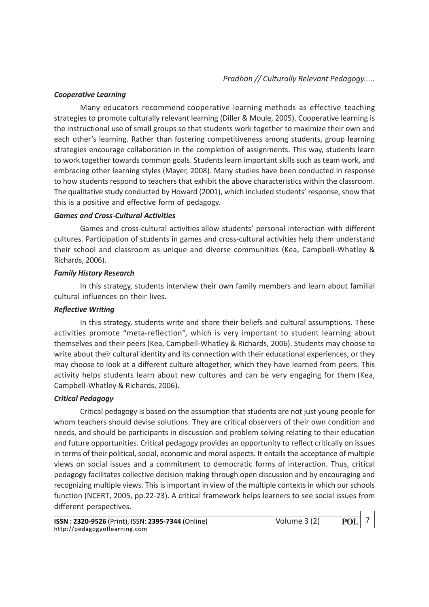#### Cooperative Learning

Many educators recommend cooperative learning methods as effective teaching strategies to promote culturally relevant learning (Diller & Moule, 2005). Cooperative learning is the instructional use of small groups so that students work together to maximize their own and each other's learning. Rather than fostering competitiveness among students, group learning strategies encourage collaboration in the completion of assignments. This way, students learn to work together towards common goals. Students learn important skills such as team work, and embracing other learning styles (Mayer, 2008). Many studies have been conducted in response to how students respond to teachers that exhibit the above characteristics within the classroom. The qualitative study conducted by Howard (2001), which included students' response, show that this is a positive and effective form of pedagogy.

#### Games and Cross-Cultural Activities

Games and cross-cultural activities allow students' personal interaction with different cultures. Participation of students in games and cross-cultural activities help them understand their school and classroom as unique and diverse communities (Kea, Campbell-Whatley & Richards, 2006).

#### Family History Research

In this strategy, students interview their own family members and learn about familial cultural influences on their lives.

#### Reflective Writing

In this strategy, students write and share their beliefs and cultural assumptions. These activities promote "meta-reflection", which is very important to student learning about themselves and their peers (Kea, Campbell-Whatley & Richards, 2006). Students may choose to write about their cultural identity and its connection with their educational experiences, or they may choose to look at a different culture altogether, which they have learned from peers. This activity helps students learn about new cultures and can be very engaging for them (Kea, Campbell-Whatley & Richards, 2006).

#### Critical Pedagogy

Critical pedagogy is based on the assumption that students are not just young people for whom teachers should devise solutions. They are critical observers of their own condition and needs, and should be participants in discussion and problem solving relating to their education and future opportunities. Critical pedagogy provides an opportunity to reflect critically on issues in terms of their political, social, economic and moral aspects. It entails the acceptance of multiple views on social issues and a commitment to democratic forms of interaction. Thus, critical pedagogy facilitates collective decision making through open discussion and by encouraging and recognizing multiple views. This is important in view of the multiple contexts in which our schools function (NCERT, 2005, pp.22-23). A critical framework helps learners to see social issues from different perspectives.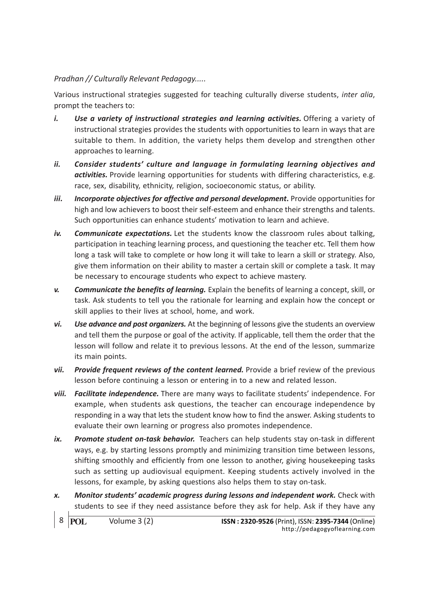Various instructional strategies suggested for teaching culturally diverse students, inter alia, prompt the teachers to:

- i. Use a variety of instructional strategies and learning activities. Offering a variety of instructional strategies provides the students with opportunities to learn in ways that are suitable to them. In addition, the variety helps them develop and strengthen other approaches to learning.
- ii. Consider students' culture and language in formulating learning objectives and activities. Provide learning opportunities for students with differing characteristics, e.g. race, sex, disability, ethnicity, religion, socioeconomic status, or ability.
- iii. Incorporate objectives for affective and personal development. Provide opportunities for high and low achievers to boost their self-esteem and enhance their strengths and talents. Such opportunities can enhance students' motivation to learn and achieve.
- iv. Communicate expectations. Let the students know the classroom rules about talking, participation in teaching learning process, and questioning the teacher etc. Tell them how long a task will take to complete or how long it will take to learn a skill or strategy. Also, give them information on their ability to master a certain skill or complete a task. It may be necessary to encourage students who expect to achieve mastery.
- v. Communicate the benefits of learning. Explain the benefits of learning a concept, skill, or task. Ask students to tell you the rationale for learning and explain how the concept or skill applies to their lives at school, home, and work.
- vi. Use advance and post organizers. At the beginning of lessons give the students an overview and tell them the purpose or goal of the activity. If applicable, tell them the order that the lesson will follow and relate it to previous lessons. At the end of the lesson, summarize its main points.
- vii. Provide frequent reviews of the content learned. Provide a brief review of the previous lesson before continuing a lesson or entering in to a new and related lesson.
- viii. Facilitate independence. There are many ways to facilitate students' independence. For example, when students ask questions, the teacher can encourage independence by responding in a way that lets the student know how to find the answer. Asking students to evaluate their own learning or progress also promotes independence.
- ix. Promote student on-task behavior. Teachers can help students stay on-task in different ways, e.g. by starting lessons promptly and minimizing transition time between lessons, shifting smoothly and efficiently from one lesson to another, giving housekeeping tasks such as setting up audiovisual equipment. Keeping students actively involved in the lessons, for example, by asking questions also helps them to stay on-task.
- x. Monitor students' academic progress during lessons and independent work. Check with students to see if they need assistance before they ask for help. Ask if they have any

```
8 POL
```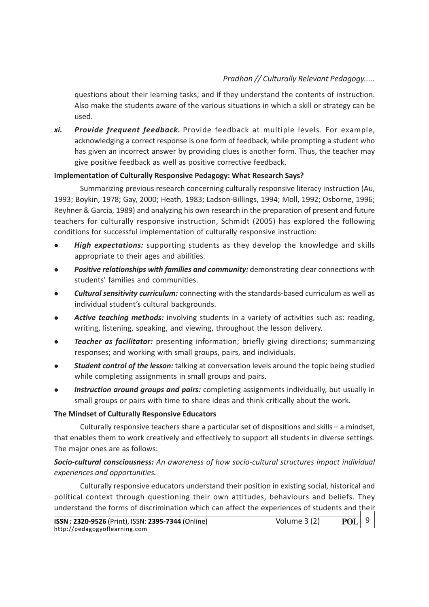questions about their learning tasks; and if they understand the contents of instruction. Also make the students aware of the various situations in which a skill or strategy can be used.

xi. Provide frequent feedback. Provide feedback at multiple levels. For example, acknowledging a correct response is one form of feedback, while prompting a student who has given an incorrect answer by providing clues is another form. Thus, the teacher may give positive feedback as well as positive corrective feedback.

## Implementation of Culturally Responsive Pedagogy: What Research Says?

Summarizing previous research concerning culturally responsive literacy instruction (Au, 1993; Boykin, 1978; Gay, 2000; Heath, 1983; Ladson-Billings, 1994; Moll, 1992; Osborne, 1996; Reyhner & Garcia, 1989) and analyzing his own research in the preparation of present and future teachers for culturally responsive instruction, Schmidt (2005) has explored the following conditions for successful implementation of culturally responsive instruction:

- High expectations: supporting students as they develop the knowledge and skills appropriate to their ages and abilities.
- Positive relationships with families and community: demonstrating clear connections with students' families and communities.
- **Cultural sensitivity curriculum:** connecting with the standards-based curriculum as well as individual student's cultural backgrounds.
- Active teaching methods: involving students in a variety of activities such as: reading, writing, listening, speaking, and viewing, throughout the lesson delivery.
- **Teacher as facilitator:** presenting information; briefly giving directions; summarizing responses; and working with small groups, pairs, and individuals.
- **Student control of the lesson:** talking at conversation levels around the topic being studied while completing assignments in small groups and pairs.
- Instruction around groups and pairs: completing assignments individually, but usually in small groups or pairs with time to share ideas and think critically about the work.

#### The Mindset of Culturally Responsive Educators

Culturally responsive teachers share a particular set of dispositions and skills – a mindset, that enables them to work creatively and effectively to support all students in diverse settings. The major ones are as follows:

# Socio-cultural consciousness: An awareness of how socio-cultural structures impact individual experiences and opportunities.

Culturally responsive educators understand their position in existing social, historical and political context through questioning their own attitudes, behaviours and beliefs. They understand the forms of discrimination which can affect the experiences of students and their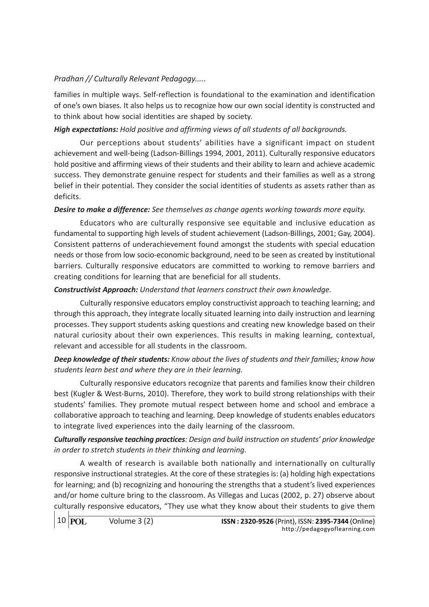families in multiple ways. Self-reflection is foundational to the examination and identification of one's own biases. It also helps us to recognize how our own social identity is constructed and to think about how social identities are shaped by society.

# High expectations: Hold positive and affirming views of all students of all backgrounds.

Our perceptions about students' abilities have a significant impact on student achievement and well-being (Ladson-Billings 1994, 2001, 2011). Culturally responsive educators hold positive and affirming views of their students and their ability to learn and achieve academic success. They demonstrate genuine respect for students and their families as well as a strong belief in their potential. They consider the social identities of students as assets rather than as deficits.

# Desire to make a difference: See themselves as change agents working towards more equity.

Educators who are culturally responsive see equitable and inclusive education as fundamental to supporting high levels of student achievement (Ladson-Billings, 2001; Gay, 2004). Consistent patterns of underachievement found amongst the students with special education needs or those from low socio-economic background, need to be seen as created by institutional barriers. Culturally responsive educators are committed to working to remove barriers and creating conditions for learning that are beneficial for all students.

## Constructivist Approach: Understand that learners construct their own knowledge.

Culturally responsive educators employ constructivist approach to teaching learning; and through this approach, they integrate locally situated learning into daily instruction and learning processes. They support students asking questions and creating new knowledge based on their natural curiosity about their own experiences. This results in making learning, contextual, relevant and accessible for all students in the classroom.

# Deep knowledge of their students: Know about the lives of students and their families; know how students learn best and where they are in their learning.

Culturally responsive educators recognize that parents and families know their children best (Kugler & West-Burns, 2010). Therefore, they work to build strong relationships with their students' families. They promote mutual respect between home and school and embrace a collaborative approach to teaching and learning. Deep knowledge of students enables educators to integrate lived experiences into the daily learning of the classroom.

# Culturally responsive teaching practices: Design and build instruction on students' prior knowledge in order to stretch students in their thinking and learning.

A wealth of research is available both nationally and internationally on culturally responsive instructional strategies. At the core of these strategies is: (a) holding high expectations for learning; and (b) recognizing and honouring the strengths that a student's lived experiences and/or home culture bring to the classroom. As Villegas and Lucas (2002, p. 27) observe about culturally responsive educators, "They use what they know about their students to give them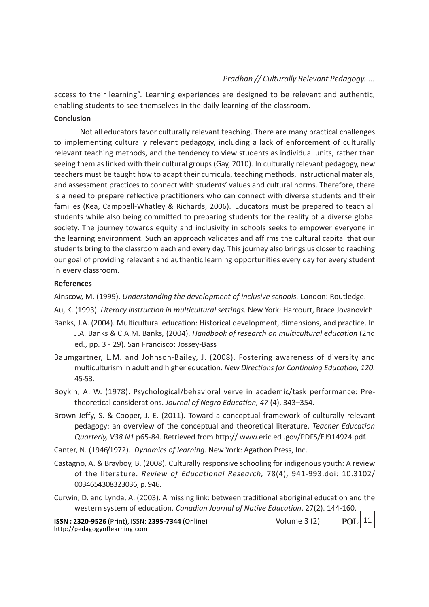access to their learning". Learning experiences are designed to be relevant and authentic, enabling students to see themselves in the daily learning of the classroom.

#### Conclusion

Not all educators favor culturally relevant teaching. There are many practical challenges to implementing culturally relevant pedagogy, including a lack of enforcement of culturally relevant teaching methods, and the tendency to view students as individual units, rather than seeing them as linked with their cultural groups (Gay, 2010). In culturally relevant pedagogy, new teachers must be taught how to adapt their curricula, teaching methods, instructional materials, and assessment practices to connect with students' values and cultural norms. Therefore, there is a need to prepare reflective practitioners who can connect with diverse students and their families (Kea, Campbell-Whatley & Richards, 2006). Educators must be prepared to teach all students while also being committed to preparing students for the reality of a diverse global society. The journey towards equity and inclusivity in schools seeks to empower everyone in the learning environment. Such an approach validates and affirms the cultural capital that our students bring to the classroom each and every day. This journey also brings us closer to reaching our goal of providing relevant and authentic learning opportunities every day for every student in every classroom.

#### References

Ainscow, M. (1999). Understanding the development of inclusive schools. London: Routledge.

Au, K. (1993). Literacy instruction in multicultural settings. New York: Harcourt, Brace Jovanovich.

- Banks, J.A. (2004). Multicultural education: Historical development, dimensions, and practice. In J.A. Banks & C.A.M. Banks, (2004). Handbook of research on multicultural education (2nd ed., pp. 3 - 29). San Francisco: Jossey-Bass
- Baumgartner, L.M. and Johnson-Bailey, J. (2008). Fostering awareness of diversity and multiculturism in adult and higher education. New Directions for Continuing Education, 120. 45-53.
- Boykin, A. W. (1978). Psychological/behavioral verve in academic/task performance: Pretheoretical considerations. Journal of Negro Education, 47 (4), 343–354.
- Brown-Jeffy, S. & Cooper, J. E. (2011). Toward a conceptual framework of culturally relevant pedagogy: an overview of the conceptual and theoretical literature. Teacher Education Quarterly, V38 N1 p65-84. Retrieved from http:// www.eric.ed .gov/PDFS/EJ914924.pdf.

Canter, N. (1946/1972). Dynamics of learning. New York: Agathon Press, Inc.

- Castagno, A. & Brayboy, B. (2008). Culturally responsive schooling for indigenous youth: A review of the literature. Review of Educational Research, 78(4), 941-993.doi: 10.3102/ 0034654308323036, p. 946.
- Curwin, D. and Lynda, A. (2003). A missing link: between traditional aboriginal education and the western system of education. Canadian Journal of Native Education, 27(2). 144-160.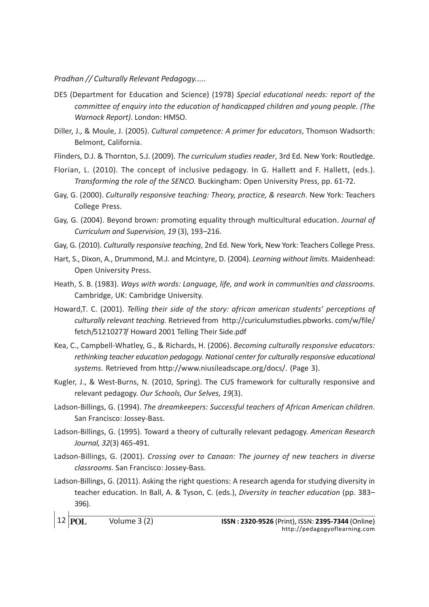- DES (Department for Education and Science) (1978) Special educational needs: report of the committee of enquiry into the education of handicapped children and young people. (The Warnock Report). London: HMSO.
- Diller, J., & Moule, J. (2005). Cultural competence: A primer for educators, Thomson Wadsorth: Belmont, California.
- Flinders, D.J. & Thornton, S.J. (2009). The curriculum studies reader, 3rd Ed. New York: Routledge.
- Florian, L. (2010). The concept of inclusive pedagogy. In G. Hallett and F. Hallett, (eds.). Transforming the role of the SENCO. Buckingham: Open University Press, pp. 61-72.
- Gay, G. (2000). Culturally responsive teaching: Theory, practice, & research. New York: Teachers College Press.
- Gay, G. (2004). Beyond brown: promoting equality through multicultural education. Journal of Curriculum and Supervision, 19 (3), 193–216.
- Gay, G. (2010). Culturally responsive teaching, 2nd Ed. New York, New York: Teachers College Press.
- Hart, S., Dixon, A., Drummond, M.J. and Mcintyre, D. (2004). Learning without limits. Maidenhead: Open University Press.
- Heath, S. B. (1983). Ways with words: Language, life, and work in communities and classrooms. Cambridge, UK: Cambridge University.
- Howard,T. C. (2001). Telling their side of the story: african american students' perceptions of culturally relevant teaching. Retrieved from http://curiculumstudies.pbworks. com/w/file/ fetch/51210277/ Howard 2001 Telling Their Side.pdf
- Kea, C., Campbell-Whatley, G., & Richards, H. (2006). Becoming culturally responsive educators: rethinking teacher education pedagogy. National center for culturally responsive educational systems. Retrieved from http://www.niusileadscape.org/docs/. (Page 3).
- Kugler, J., & West-Burns, N. (2010, Spring). The CUS framework for culturally responsive and relevant pedagogy. Our Schools, Our Selves, 19(3).
- Ladson-Billings, G. (1994). The dreamkeepers: Successful teachers of African American children. San Francisco: Jossey-Bass.
- Ladson-Billings, G. (1995). Toward a theory of culturally relevant pedagogy. American Research Journal, 32(3) 465-491.
- Ladson-Billings, G. (2001). Crossing over to Canaan: The journey of new teachers in diverse classrooms. San Francisco: Jossey-Bass.
- Ladson-Billings, G. (2011). Asking the right questions: A research agenda for studying diversity in teacher education. In Ball, A. & Tyson, C. (eds.), Diversity in teacher education (pp. 383– 396).